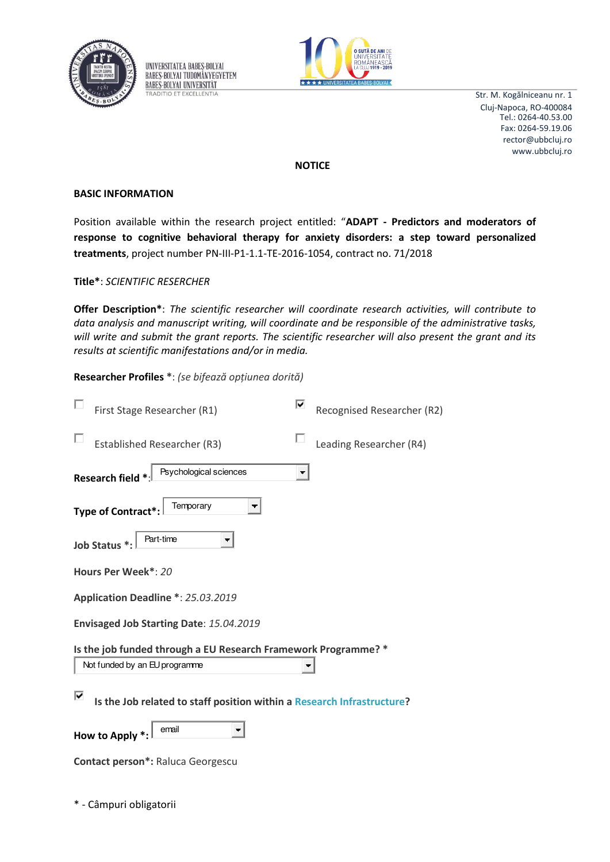

UNIVERSITATEA BABES-BOLYAI **BABES-BOLYAI TUDOMÁNYEGYETEM BABES-BOLYAI UNIVERSITÄT TRADITIO ET EXCELLENTIA** 



Str. M. Kogălniceanu nr. 1 Cluj-Napoca, RO-400084 rector@ubbcluj.ro www.ubbcluj.ro Tel.: 0264-40.53.00 Fax: 0264-59.19.06

**NOTICE** 

## **BASIC INFORMATION**

Position available within the research project entitled: "**ADAPT - Predictors and moderators of response to cognitive behavioral therapy for anxiety disorders: a step toward personalized treatments**, project number PN-III-P1-1.1-TE-2016-1054, contract no. 71/2018

**Title\***: *SCIENTIFIC RESERCHER*

**Offer Description\***: *The scientific researcher will coordinate research activities, will contribute to data analysis and manuscript writing, will coordinate and be responsible of the administrative tasks, will write and submit the grant reports. The scientific researcher will also present the grant and its results at scientific manifestations and/or in media.* 

**Researcher Profiles \***: *(se bifează opțiunea dorită)* 

| First Stage Researcher (R1)                                                                     |  | Recognised Researcher (R2) |  |
|-------------------------------------------------------------------------------------------------|--|----------------------------|--|
| <b>Established Researcher (R3)</b>                                                              |  | Leading Researcher (R4)    |  |
| Psychological sciences<br>Research field *                                                      |  |                            |  |
| Temporary<br><b>Type of Contract*:</b>                                                          |  |                            |  |
| Part-time<br>Job Status *:                                                                      |  |                            |  |
| Hours Per Week*: 20                                                                             |  |                            |  |
| Application Deadline *: 25.03.2019                                                              |  |                            |  |
| Envisaged Job Starting Date: 15.04.2019                                                         |  |                            |  |
| Is the job funded through a EU Research Framework Programme? *<br>Not funded by an EU programme |  |                            |  |
| է<br>Is the Job related to staff position within a Research Infrastructure?                     |  |                            |  |
| email<br>How to Apply *:                                                                        |  |                            |  |
| Contact person*: Raluca Georgescu                                                               |  |                            |  |

\* - Câmpuri obligatorii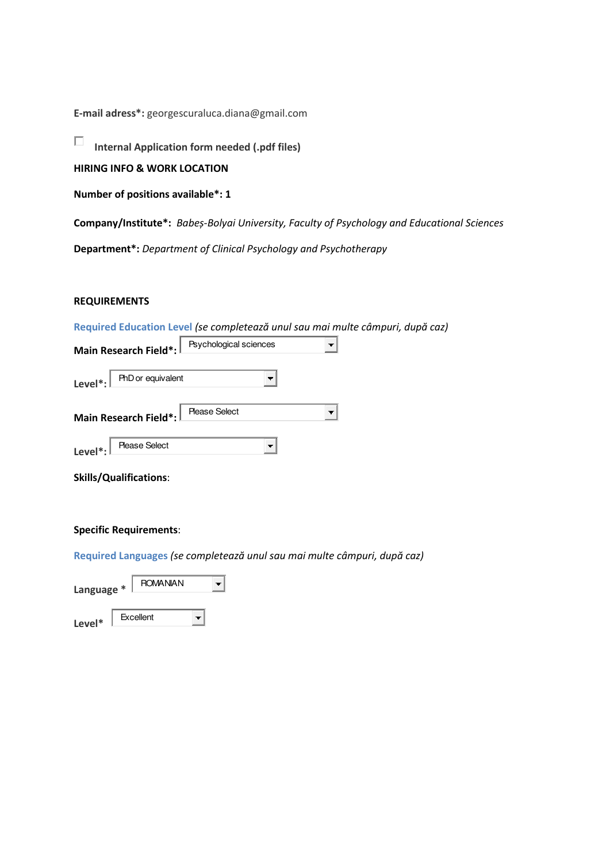**E-mail adress\*:** georgescuraluca.diana@gmail.com

 $\Box$ **Internal Application form needed (.pdf files)** 

**HIRING INFO & WORK LOCATION** 

**Number of positions available\*: 1** 

**Company/Institute\*:** *Baďeș-Bolyai University, Faculty of Psychology and Educational Sciences* 

**Department\*:** *Department of Clinical Psychology and Psychotherapy* 

# **REQUIREMENTS**

**Required Education Level (se completează unul sau mai multe câmpuri, după caz)** 

|                                       | Main Research Field*: Flychological sciences |  |
|---------------------------------------|----------------------------------------------|--|
| $Level*:  $ PhD or equivalent         |                                              |  |
| Main Research Field*:   Please Select |                                              |  |
| Level <sup>*</sup> :   Please Select  |                                              |  |

|  | <b>Skills/Qualifications:</b> |
|--|-------------------------------|
|--|-------------------------------|

#### **Specific Requirements**:

**Required Languages (se completează unul sau mai multe câmpuri, după caz)** 

| Language * | <b>ROMANIAN</b> |  |
|------------|-----------------|--|
| Level*     | Excellent       |  |